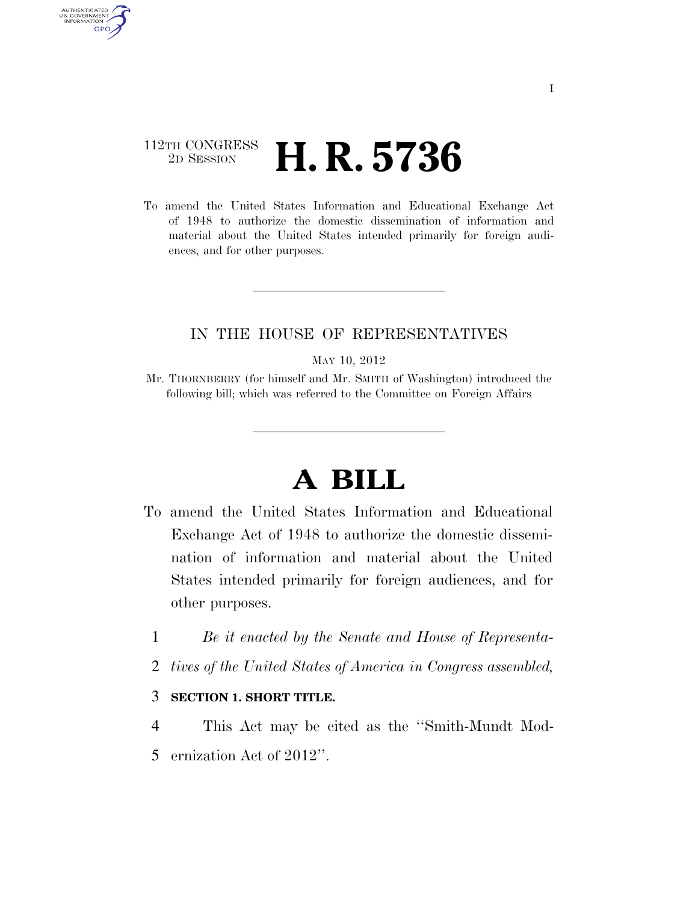### 112TH CONGRESS <sup>2D SESSION</sup> **H. R. 5736**

AUTHENTICATED U.S. GOVERNMENT GPO

> To amend the United States Information and Educational Exchange Act of 1948 to authorize the domestic dissemination of information and material about the United States intended primarily for foreign audiences, and for other purposes.

#### IN THE HOUSE OF REPRESENTATIVES

#### MAY 10, 2012

Mr. THORNBERRY (for himself and Mr. SMITH of Washington) introduced the following bill; which was referred to the Committee on Foreign Affairs

# **A BILL**

- To amend the United States Information and Educational Exchange Act of 1948 to authorize the domestic dissemination of information and material about the United States intended primarily for foreign audiences, and for other purposes.
	- 1 *Be it enacted by the Senate and House of Representa-*
	- 2 *tives of the United States of America in Congress assembled,*

#### 3 **SECTION 1. SHORT TITLE.**

4 This Act may be cited as the ''Smith-Mundt Mod-5 ernization Act of 2012''.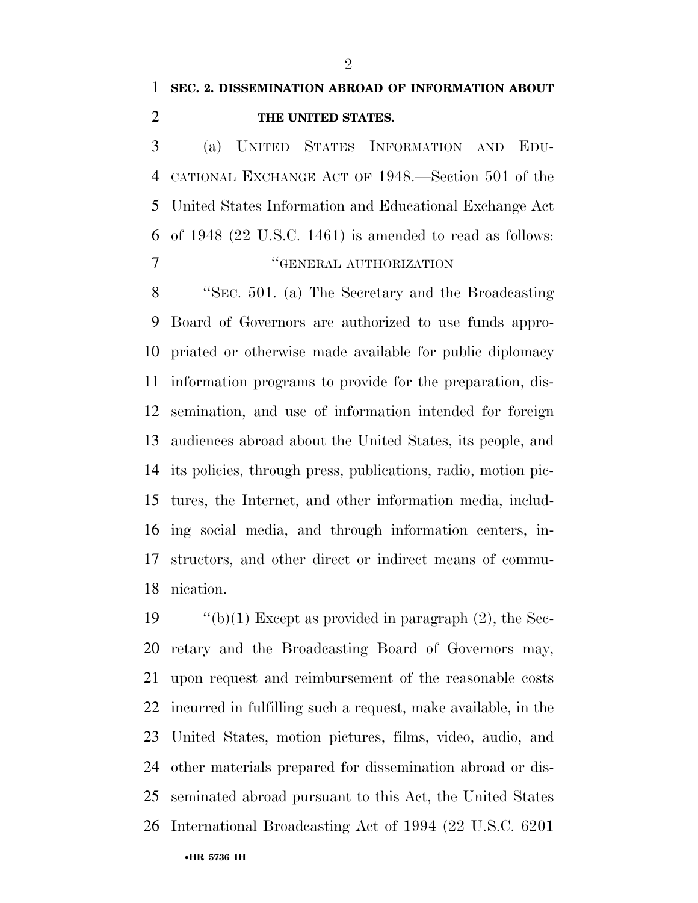## **SEC. 2. DISSEMINATION ABROAD OF INFORMATION ABOUT THE UNITED STATES.**

 (a) UNITED STATES INFORMATION AND EDU- CATIONAL EXCHANGE ACT OF 1948.—Section 501 of the United States Information and Educational Exchange Act of 1948 (22 U.S.C. 1461) is amended to read as follows: **''GENERAL AUTHORIZATION** 

 ''SEC. 501. (a) The Secretary and the Broadcasting Board of Governors are authorized to use funds appro- priated or otherwise made available for public diplomacy information programs to provide for the preparation, dis- semination, and use of information intended for foreign audiences abroad about the United States, its people, and its policies, through press, publications, radio, motion pic- tures, the Internet, and other information media, includ- ing social media, and through information centers, in- structors, and other direct or indirect means of commu-nication.

 $\cdot$  "(b)(1) Except as provided in paragraph (2), the Sec- retary and the Broadcasting Board of Governors may, upon request and reimbursement of the reasonable costs incurred in fulfilling such a request, make available, in the United States, motion pictures, films, video, audio, and other materials prepared for dissemination abroad or dis- seminated abroad pursuant to this Act, the United States International Broadcasting Act of 1994 (22 U.S.C. 6201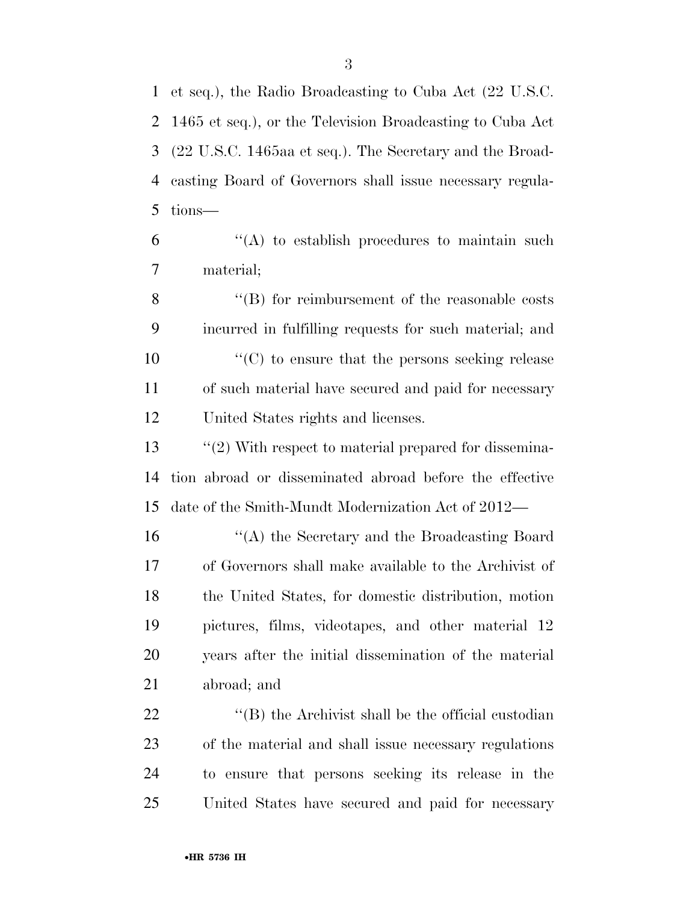et seq.), the Radio Broadcasting to Cuba Act (22 U.S.C. 1465 et seq.), or the Television Broadcasting to Cuba Act (22 U.S.C. 1465aa et seq.). The Secretary and the Broad- casting Board of Governors shall issue necessary regula-tions—

 "(A) to establish procedures to maintain such material;

8 "(B) for reimbursement of the reasonable costs incurred in fulfilling requests for such material; and  $\mathcal{L}^{\prime\prime}(C)$  to ensure that the persons seeking release of such material have secured and paid for necessary United States rights and licenses.

13 ''(2) With respect to material prepared for dissemina- tion abroad or disseminated abroad before the effective date of the Smith-Mundt Modernization Act of 2012—

 ''(A) the Secretary and the Broadcasting Board of Governors shall make available to the Archivist of the United States, for domestic distribution, motion pictures, films, videotapes, and other material 12 years after the initial dissemination of the material abroad; and

22 ''(B) the Archivist shall be the official custodian of the material and shall issue necessary regulations to ensure that persons seeking its release in the United States have secured and paid for necessary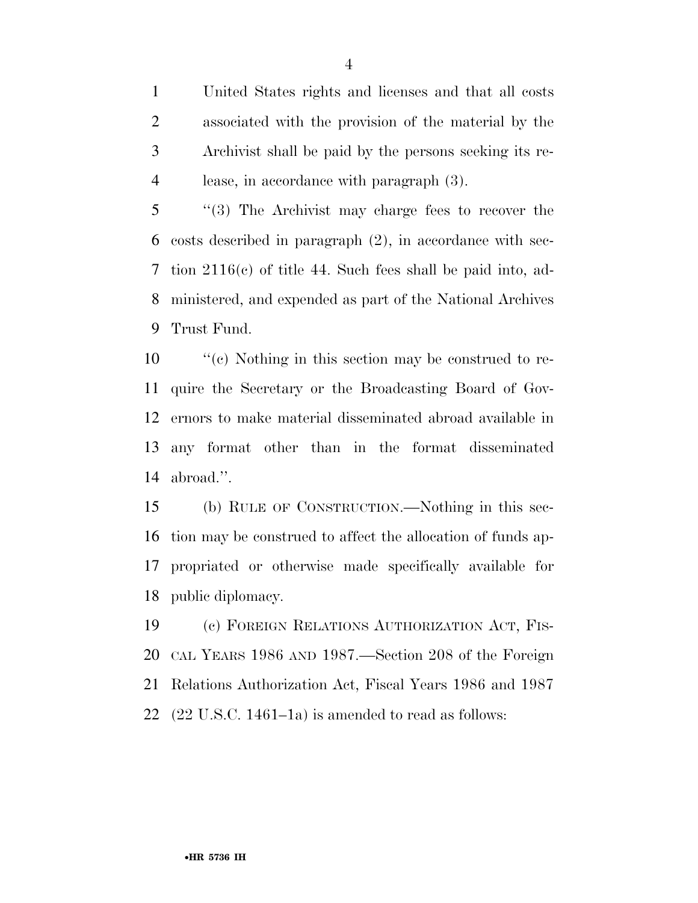United States rights and licenses and that all costs associated with the provision of the material by the Archivist shall be paid by the persons seeking its re-lease, in accordance with paragraph (3).

 ''(3) The Archivist may charge fees to recover the costs described in paragraph (2), in accordance with sec- tion 2116(c) of title 44. Such fees shall be paid into, ad- ministered, and expended as part of the National Archives Trust Fund.

 ''(c) Nothing in this section may be construed to re- quire the Secretary or the Broadcasting Board of Gov- ernors to make material disseminated abroad available in any format other than in the format disseminated abroad.''.

 (b) RULE OF CONSTRUCTION.—Nothing in this sec- tion may be construed to affect the allocation of funds ap- propriated or otherwise made specifically available for public diplomacy.

 (c) FOREIGN RELATIONS AUTHORIZATION ACT, FIS- CAL YEARS 1986 AND 1987.—Section 208 of the Foreign Relations Authorization Act, Fiscal Years 1986 and 1987  $(22 \text{ U.S.C. } 1461-1a)$  is amended to read as follows: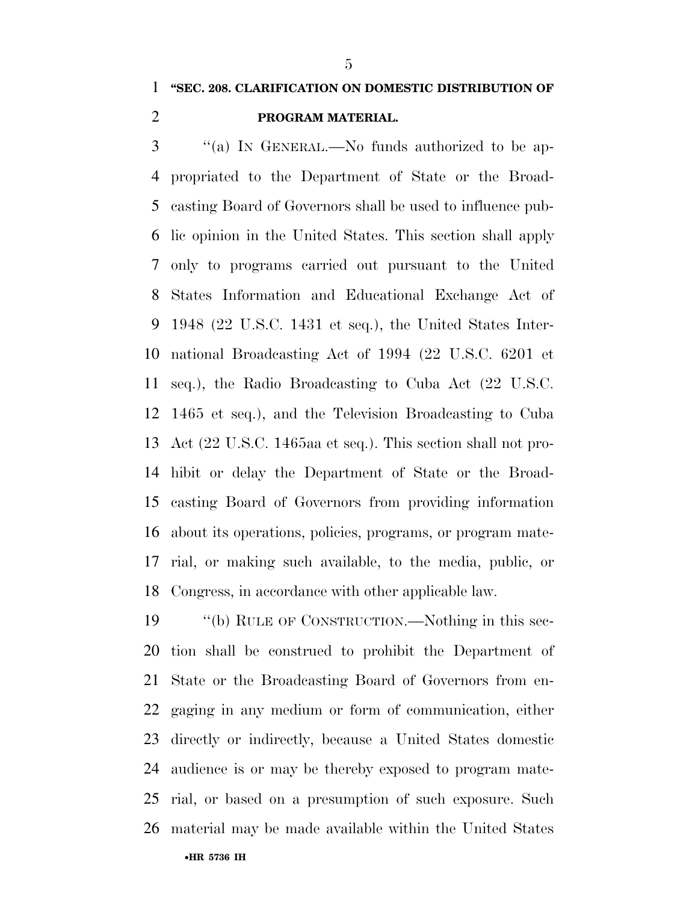#### **''SEC. 208. CLARIFICATION ON DOMESTIC DISTRIBUTION OF**

#### **PROGRAM MATERIAL.**

 ''(a) IN GENERAL.—No funds authorized to be ap- propriated to the Department of State or the Broad- casting Board of Governors shall be used to influence pub- lic opinion in the United States. This section shall apply only to programs carried out pursuant to the United States Information and Educational Exchange Act of 1948 (22 U.S.C. 1431 et seq.), the United States Inter- national Broadcasting Act of 1994 (22 U.S.C. 6201 et seq.), the Radio Broadcasting to Cuba Act (22 U.S.C. 1465 et seq.), and the Television Broadcasting to Cuba Act (22 U.S.C. 1465aa et seq.). This section shall not pro- hibit or delay the Department of State or the Broad- casting Board of Governors from providing information about its operations, policies, programs, or program mate- rial, or making such available, to the media, public, or Congress, in accordance with other applicable law.

•**HR 5736 IH** ''(b) RULE OF CONSTRUCTION.—Nothing in this sec- tion shall be construed to prohibit the Department of State or the Broadcasting Board of Governors from en- gaging in any medium or form of communication, either directly or indirectly, because a United States domestic audience is or may be thereby exposed to program mate- rial, or based on a presumption of such exposure. Such material may be made available within the United States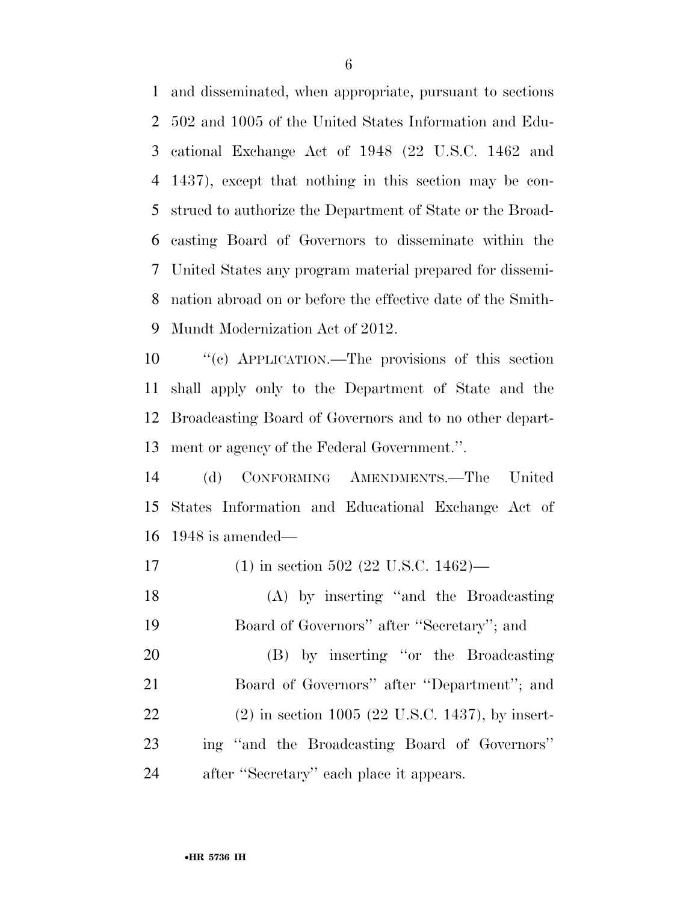and disseminated, when appropriate, pursuant to sections 502 and 1005 of the United States Information and Edu- cational Exchange Act of 1948 (22 U.S.C. 1462 and 1437), except that nothing in this section may be con- strued to authorize the Department of State or the Broad- casting Board of Governors to disseminate within the United States any program material prepared for dissemi- nation abroad on or before the effective date of the Smith-Mundt Modernization Act of 2012.

 ''(c) APPLICATION.—The provisions of this section shall apply only to the Department of State and the Broadcasting Board of Governors and to no other depart-ment or agency of the Federal Government.''.

 (d) CONFORMING AMENDMENTS.—The United States Information and Educational Exchange Act of 1948 is amended—

 (1) in section 502 (22 U.S.C. 1462)— (A) by inserting ''and the Broadcasting Board of Governors'' after ''Secretary''; and (B) by inserting ''or the Broadcasting 21 Board of Governors" after "Department"; and (2) in section 1005 (22 U.S.C. 1437), by insert-ing ''and the Broadcasting Board of Governors''

after ''Secretary'' each place it appears.